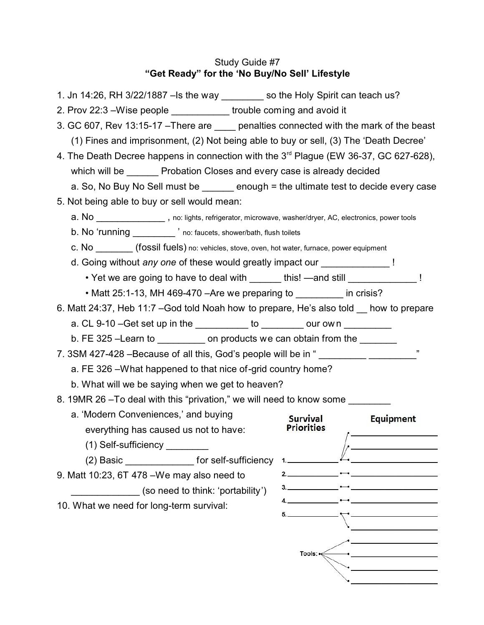# Study Guide #7 **"Get Ready" for the 'No Buy/No Sell' Lifestyle**

1. Jn 14:26, RH 3/22/1887 –Is the way \_\_\_\_\_\_\_\_ so the Holy Spirit can teach us? 2. Prov 22:3 –Wise people \_\_\_\_\_\_\_\_\_\_\_ trouble coming and avoid it 3. GC 607, Rev 13:15-17 – There are penalties connected with the mark of the beast (1) Fines and imprisonment, (2) Not being able to buy or sell, (3) The 'Death Decree' 4. The Death Decree happens in connection with the 3<sup>rd</sup> Plague (EW 36-37, GC 627-628), which will be **Probation Closes and every case is already decided** a. So, No Buy No Sell must be  $\qquad \qquad$  enough = the ultimate test to decide every case 5. Not being able to buy or sell would mean: a. No **a.** No **paradonal references**, no: lights, refrigerator, microwave, washer/dryer, AC, electronics, power tools b. No 'running \_\_\_\_\_\_\_\_ ' no: faucets, shower/bath, flush toilets c. No \_\_\_\_\_\_\_ (fossil fuels) no: vehicles, stove, oven, hot water, furnace, power equipment d. Going without *any one* of these would greatly impact our **Fig. 1** • Yet we are going to have to deal with dis! —and still and still and still state of the state of the state of the state of the state of the state of the state of the state of the state of the state of the state of the sta • Matt 25:1-13, MH 469-470 – Are we preparing to in crisis? 6. Matt 24:37, Heb 11:7 –God told Noah how to prepare, He's also told \_\_ how to prepare a. CL 9-10 – Get set up in the to to cour own b. FE 325 –Learn to example on products we can obtain from the 7. 3SM 427-428 –Because of all this, God's people will be in " a. FE 326 –What happened to that nice of-grid country home? b. What will we be saying when we get to heaven? 8. 19MR 26 –To deal with this "privation," we will need to know some a. 'Modern Conveniences,' and buying Survival **Equipment Priorities** everything has caused us not to have: (1) Self-sufficiency \_\_\_\_\_\_\_\_  $(2)$  Basic \_\_\_\_\_\_\_\_\_\_\_\_\_\_\_\_\_\_\_ for self-sufficiency 1.  $2<sup>1</sup>$ 9. Matt 10:23, 6T 478 –We may also need to (so need to think: 'portability')  $\frac{4}{2}$ 10. What we need for long-term survival:Tools: $\leq$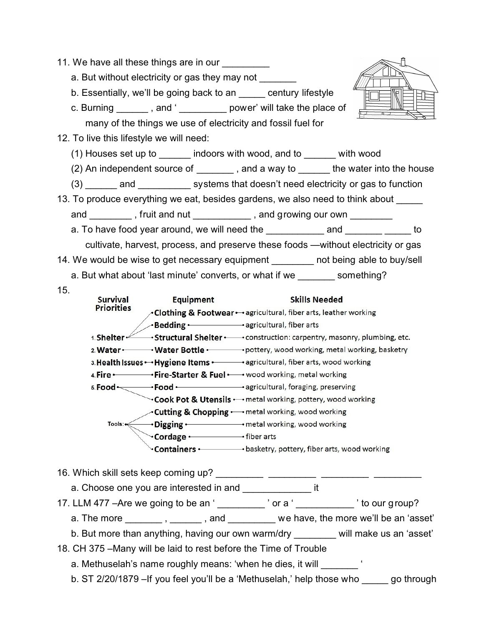| 11. We have all these things are in our<br>a. But without electricity or gas they may not _______ |                  | b. Essentially, we'll be going back to an electrontry lifestyle<br>c. Burning ________, and '_____________ power' will take the place of |  |
|---------------------------------------------------------------------------------------------------|------------------|------------------------------------------------------------------------------------------------------------------------------------------|--|
| many of the things we use of electricity and fossil fuel for                                      |                  |                                                                                                                                          |  |
| 12. To live this lifestyle we will need:                                                          |                  |                                                                                                                                          |  |
| (1) Houses set up to _______ indoors with wood, and to _______ with wood                          |                  |                                                                                                                                          |  |
| (2) An independent source of _________, and a way to _______ the water into the house             |                  |                                                                                                                                          |  |
| (3) _______ and _____________ systems that doesn't need electricity or gas to function            |                  |                                                                                                                                          |  |
| 13. To produce everything we eat, besides gardens, we also need to think about _____              |                  |                                                                                                                                          |  |
|                                                                                                   |                  |                                                                                                                                          |  |
| and __________, fruit and nut ____________, and growing our own _________                         |                  |                                                                                                                                          |  |
|                                                                                                   |                  |                                                                                                                                          |  |
| cultivate, harvest, process, and preserve these foods —without electricity or gas                 |                  |                                                                                                                                          |  |
| 14. We would be wise to get necessary equipment ________ not being able to buy/sell               |                  |                                                                                                                                          |  |
| a. But what about 'last minute' converts, or what if we something?                                |                  |                                                                                                                                          |  |
| 15.                                                                                               |                  |                                                                                                                                          |  |
| <b>Survival</b>                                                                                   | <b>Equipment</b> | <b>Skills Needed</b>                                                                                                                     |  |
| <b>Priorities</b>                                                                                 |                  |                                                                                                                                          |  |
|                                                                                                   |                  | Bedding • agricultural, fiber arts                                                                                                       |  |
|                                                                                                   |                  | 1. Shelter Structural Shelter • construction: carpentry, masonry, plumbing, etc.                                                         |  |
|                                                                                                   |                  |                                                                                                                                          |  |
| 3. Health Issues • • Hygiene Items • • • • • agricultural, fiber arts, wood working               |                  |                                                                                                                                          |  |
| 4. Fire · Fire-Starter & Fuel · vood working, metal working                                       |                  |                                                                                                                                          |  |
|                                                                                                   |                  | 5. Food · Food · agricultural, foraging, preserving                                                                                      |  |
| <b>Vook Pot &amp; Utensils •</b> metal working, pottery, wood working                             |                  |                                                                                                                                          |  |
|                                                                                                   |                  | <b>Cutting &amp; Chopping ·</b> metal working, wood working                                                                              |  |
|                                                                                                   |                  | the contract of the contract of the contract of the contract of the contract of the contract of the contract of                          |  |

→ metal working, wood working Digging  $-$ Cordage · · · · · · fiber arts

**Containers •** basketry, pottery, fiber arts, wood working

16. Which skill sets keep coming up? \_\_\_\_\_\_\_\_\_\_ \_\_\_\_\_\_\_\_\_\_ \_\_\_\_

a. Choose one you are interested in and **Exercise** it

17. LLM 477 –Are we going to be an ' $\frac{1}{2}$  or a ' $\frac{1}{2}$  or a ' $\frac{1}{2}$ 

a. The more  $\frac{1}{\sqrt{1-\frac{1}{n}}}\$ , and  $\frac{1}{\sqrt{1-\frac{1}{n}}}\$  we have, the more we'll be an 'asset'

b. But more than anything, having our own warm/dry \_\_\_\_\_\_\_ will make us an 'asset'

18. CH 375 –Many will be laid to rest before the Time of Trouble

a. Methuselah's name roughly means: 'when he dies, it will \_\_\_\_\_\_\_\_ '

b. ST 2/20/1879 –If you feel you'll be a 'Methuselah,' help those who \_\_\_\_\_ go through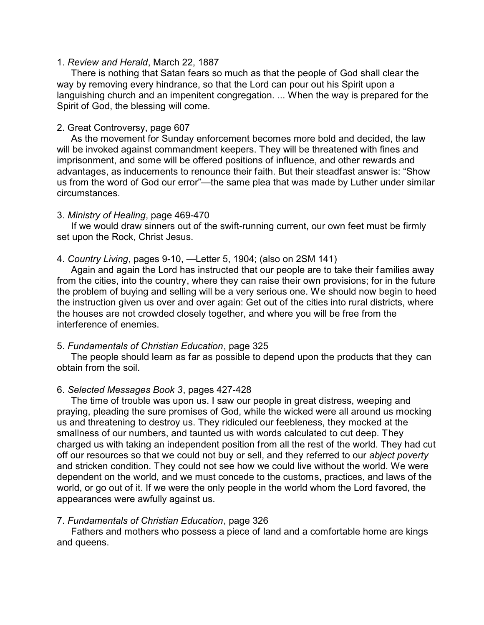#### 1. *Review and Herald*, March 22, 1887

There is nothing that Satan fears so much as that the people of God shall clear the way by removing every hindrance, so that the Lord can pour out his Spirit upon a languishing church and an impenitent congregation. ... When the way is prepared for the Spirit of God, the blessing will come.

## 2. Great Controversy, page 607

As the movement for Sunday enforcement becomes more bold and decided, the law will be invoked against commandment keepers. They will be threatened with fines and imprisonment, and some will be offered positions of influence, and other rewards and advantages, as inducements to renounce their faith. But their steadfast answer is: "Show us from the word of God our error"—the same plea that was made by Luther under similar circumstances.

## 3. *Ministry of Healing*, page 469-470

If we would draw sinners out of the swift-running current, our own feet must be firmly set upon the Rock, Christ Jesus.

## 4. *Country Living*, pages 9-10, —Letter 5, 1904; (also on 2SM 141)

Again and again the Lord has instructed that our people are to take their f amilies away from the cities, into the country, where they can raise their own provisions; for in the future the problem of buying and selling will be a very serious one. We should now begin to heed the instruction given us over and over again: Get out of the cities into rural districts, where the houses are not crowded closely together, and where you will be free from the interference of enemies.

## 5. *Fundamentals of Christian Education*, page 325

The people should learn as far as possible to depend upon the products that they can obtain from the soil.

# 6. *Selected Messages Book 3*, pages 427-428

The time of trouble was upon us. I saw our people in great distress, weeping and praying, pleading the sure promises of God, while the wicked were all around us mocking us and threatening to destroy us. They ridiculed our feebleness, they mocked at the smallness of our numbers, and taunted us with words calculated to cut deep. They charged us with taking an independent position from all the rest of the world. They had cut off our resources so that we could not buy or sell, and they referred to our *abject poverty* and stricken condition. They could not see how we could live without the world. We were dependent on the world, and we must concede to the customs, practices, and laws of the world, or go out of it. If we were the only people in the world whom the Lord favored, the appearances were awfully against us.

#### 7. *Fundamentals of Christian Education*, page 326

Fathers and mothers who possess a piece of land and a comfortable home are kings and queens.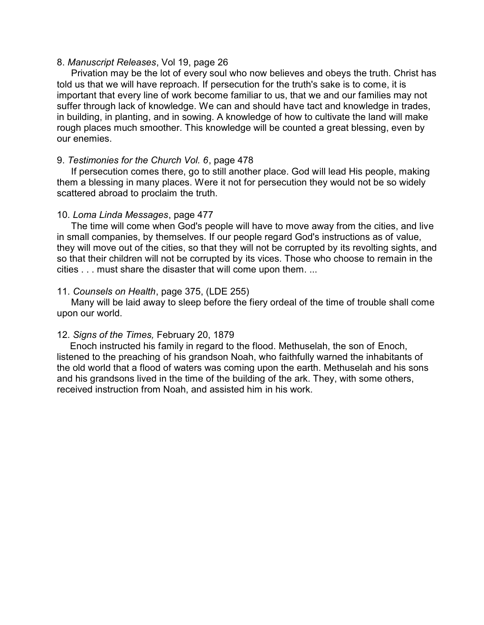#### 8. *Manuscript Releases*, Vol 19, page 26

Privation may be the lot of every soul who now believes and obeys the truth. Christ has told us that we will have reproach. If persecution for the truth's sake is to come, it is important that every line of work become familiar to us, that we and our families may not suffer through lack of knowledge. We can and should have tact and knowledge in trades, in building, in planting, and in sowing. A knowledge of how to cultivate the land will make rough places much smoother. This knowledge will be counted a great blessing, even by our enemies.

# 9. *Testimonies for the Church Vol. 6*, page 478

If persecution comes there, go to still another place. God will lead His people, making them a blessing in many places. Were it not for persecution they would not be so widely scattered abroad to proclaim the truth.

## 10. *Loma Linda Messages*, page 477

The time will come when God's people will have to move away from the cities, and live in small companies, by themselves. If our people regard God's instructions as of value, they will move out of the cities, so that they will not be corrupted by its revolting sights, and so that their children will not be corrupted by its vices. Those who choose to remain in the cities . . . must share the disaster that will come upon them. ...

# 11. *Counsels on Health*, page 375, (LDE 255)

Many will be laid away to sleep before the fiery ordeal of the time of trouble shall come upon our world.

# 12. *Signs of the Times,* February 20, 1879

 Enoch instructed his family in regard to the flood. Methuselah, the son of Enoch, listened to the preaching of his grandson Noah, who faithfully warned the inhabitants of the old world that a flood of waters was coming upon the earth. Methuselah and his sons and his grandsons lived in the time of the building of the ark. They, with some others, received instruction from Noah, and assisted him in his work.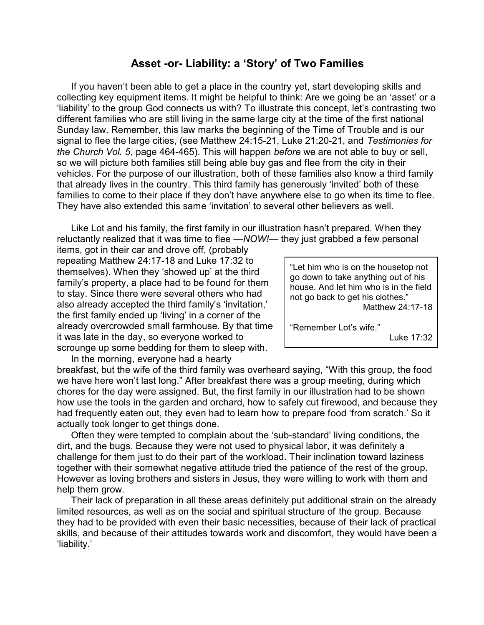# **Asset -or- Liability: a 'Story' of Two Families**

If you haven't been able to get a place in the country yet, start developing skills and collecting key equipment items. It might be helpful to think: Are we going be an 'asset' or a 'liability' to the group God connects us with? To illustrate this concept, let's contrasting two different families who are still living in the same large city at the time of the first national Sunday law. Remember, this law marks the beginning of the Time of Trouble and is our signal to flee the large cities, (see Matthew 24:15-21, Luke 21:20-21, and *Testimonies for the Church Vol. 5*, page 464-465). This will happen *before* we are not able to buy or sell, so we will picture both families still being able buy gas and flee from the city in their vehicles. For the purpose of our illustration, both of these families also know a third family that already lives in the country. This third family has generously 'invited' both of these families to come to their place if they don't have anywhere else to go when its time to flee. They have also extended this same 'invitation' to several other believers as well.

Like Lot and his family, the first family in our illustration hasn't prepared. When they reluctantly realized that it was time to flee *—NOW!*— they just grabbed a few personal

items, got in their car and drove off, (probably repeating Matthew 24:17-18 and Luke 17:32 to themselves). When they 'showed up' at the third family's property, a place had to be found for them to stay. Since there were several others who had also already accepted the third family's 'invitation,' the first family ended up 'living' in a corner of the already overcrowded small farmhouse. By that time it was late in the day, so everyone worked to scrounge up some bedding for them to sleep with. In the morning, everyone had a hearty

"Let him who is on the housetop not go down to take anything out of his house. And let him who is in the field not go back to get his clothes." Matthew 24:17-18

"Remember Lot's wife."

Luke 17:32

breakfast, but the wife of the third family was overheard saying, "With this group, the food we have here won't last long." After breakfast there was a group meeting, during which chores for the day were assigned. But, the first family in our illustration had to be shown how use the tools in the garden and orchard, how to safely cut firewood, and because they had frequently eaten out, they even had to learn how to prepare food 'from scratch.' So it actually took longer to get things done.

Often they were tempted to complain about the 'sub-standard' living conditions, the dirt, and the bugs. Because they were not used to physical labor, it was definitely a challenge for them just to do their part of the workload. Their inclination toward laziness together with their somewhat negative attitude tried the patience of the rest of the group. However as loving brothers and sisters in Jesus, they were willing to work with them and help them grow.

Their lack of preparation in all these areas definitely put additional strain on the already limited resources, as well as on the social and spiritual structure of the group. Because they had to be provided with even their basic necessities, because of their lack of practical skills, and because of their attitudes towards work and discomfort, they would have been a 'liability.'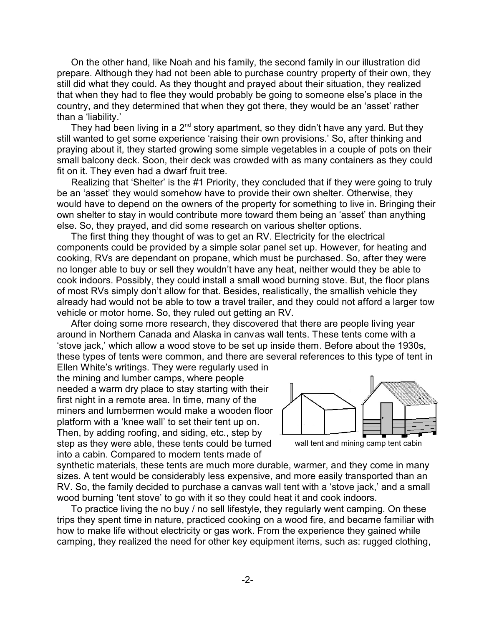On the other hand, like Noah and his family, the second family in our illustration did prepare. Although they had not been able to purchase country property of their own, they still did what they could. As they thought and prayed about their situation, they realized that when they had to flee they would probably be going to someone else's place in the country, and they determined that when they got there, they would be an 'asset' rather than a 'liability.'

They had been living in a 2<sup>nd</sup> story apartment, so they didn't have any yard. But they still wanted to get some experience 'raising their own provisions.' So, after thinking and praying about it, they started growing some simple vegetables in a couple of pots on their small balcony deck. Soon, their deck was crowded with as many containers as they could fit on it. They even had a dwarf fruit tree.

Realizing that 'Shelter' is the #1 Priority, they concluded that if they were going to truly be an 'asset' they would somehow have to provide their own shelter. Otherwise, they would have to depend on the owners of the property for something to live in. Bringing their own shelter to stay in would contribute more toward them being an 'asset' than anything else. So, they prayed, and did some research on various shelter options.

The first thing they thought of was to get an RV. Electricity for the electrical components could be provided by a simple solar panel set up. However, for heating and cooking, RVs are dependant on propane, which must be purchased. So, after they were no longer able to buy or sell they wouldn't have any heat, neither would they be able to cook indoors. Possibly, they could install a small wood burning stove. But, the floor plans of most RVs simply don't allow for that. Besides, realistically, the smallish vehicle they already had would not be able to tow a travel trailer, and they could not afford a larger tow vehicle or motor home. So, they ruled out getting an RV.

After doing some more research, they discovered that there are people living year around in Northern Canada and Alaska in canvas wall tents. These tents come with a 'stove jack,' which allow a wood stove to be set up inside them. Before about the 1930s, these types of tents were common, and there are several references to this type of tent in

Ellen White's writings. They were regularly used in the mining and lumber camps, where people needed a warm dry place to stay starting with their first night in a remote area. In time, many of the miners and lumbermen would make a wooden floor platform with a 'knee wall' to set their tent up on. Then, by adding roofing, and siding, etc., step by step as they were able, these tents could be turned into a cabin. Compared to modern tents made of



wall tent and mining camp tent cabin

synthetic materials, these tents are much more durable, warmer, and they come in many sizes. A tent would be considerably less expensive, and more easily transported than an RV. So, the family decided to purchase a canvas wall tent with a 'stove jack,' and a small wood burning 'tent stove' to go with it so they could heat it and cook indoors.

To practice living the no buy / no sell lifestyle, they regularly went camping. On these trips they spent time in nature, practiced cooking on a wood fire, and became familiar with how to make life without electricity or gas work. From the experience they gained while camping, they realized the need for other key equipment items, such as: rugged clothing,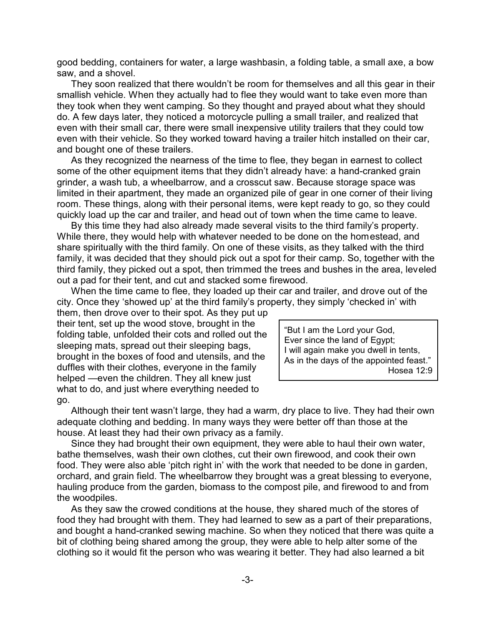good bedding, containers for water, a large washbasin, a folding table, a small axe, a bow saw, and a shovel.

They soon realized that there wouldn't be room for themselves and all this gear in their smallish vehicle. When they actually had to flee they would want to take even more than they took when they went camping. So they thought and prayed about what they should do. A few days later, they noticed a motorcycle pulling a small trailer, and realized that even with their small car, there were small inexpensive utility trailers that they could tow even with their vehicle. So they worked toward having a trailer hitch installed on their car, and bought one of these trailers.

As they recognized the nearness of the time to flee, they began in earnest to collect some of the other equipment items that they didn't already have: a hand-cranked grain grinder, a wash tub, a wheelbarrow, and a crosscut saw. Because storage space was limited in their apartment, they made an organized pile of gear in one corner of their living room. These things, along with their personal items, were kept ready to go, so they could quickly load up the car and trailer, and head out of town when the time came to leave.

By this time they had also already made several visits to the third family's property. While there, they would help with whatever needed to be done on the homestead, and share spiritually with the third family. On one of these visits, as they talked with the third family, it was decided that they should pick out a spot for their camp. So, together with the third family, they picked out a spot, then trimmed the trees and bushes in the area, leveled out a pad for their tent, and cut and stacked some firewood.

When the time came to flee, they loaded up their car and trailer, and drove out of the city. Once they 'showed up' at the third family's property, they simply 'checked in' with

them, then drove over to their spot. As they put up their tent, set up the wood stove, brought in the folding table, unfolded their cots and rolled out the sleeping mats, spread out their sleeping bags, brought in the boxes of food and utensils, and the duffles with their clothes, everyone in the family helped —even the children. They all knew just what to do, and just where everything needed to go.

"But I am the Lord your God, Ever since the land of Egypt; I will again make you dwell in tents, As in the days of the appointed feast." Hosea 12:9

Although their tent wasn't large, they had a warm, dry place to live. They had their own adequate clothing and bedding. In many ways they were better off than those at the house. At least they had their own privacy as a family.

Since they had brought their own equipment, they were able to haul their own water, bathe themselves, wash their own clothes, cut their own firewood, and cook their own food. They were also able 'pitch right in' with the work that needed to be done in garden, orchard, and grain field. The wheelbarrow they brought was a great blessing to everyone, hauling produce from the garden, biomass to the compost pile, and firewood to and from the woodpiles.

As they saw the crowed conditions at the house, they shared much of the stores of food they had brought with them. They had learned to sew as a part of their preparations, and bought a hand-cranked sewing machine. So when they noticed that there was quite a bit of clothing being shared among the group, they were able to help alter some of the clothing so it would fit the person who was wearing it better. They had also learned a bit